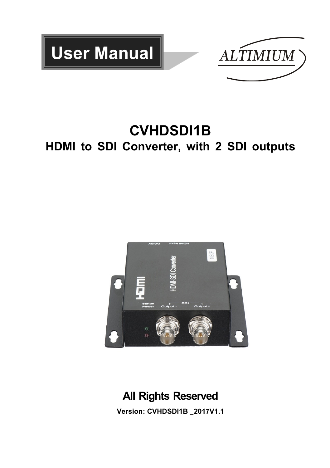



# **CVHDSDI1B HDMI to SDI Converter, with 2 SDI outputs**



# **All Rights Reserved**

**Version: CVHDSDI1B \_2017V1.1**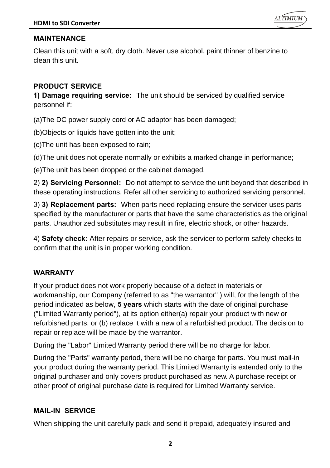#### **MAINTENANCE**

Clean this unit with a soft, dry cloth. Never use alcohol, paint thinner of benzine to clean this unit.

#### **PRODUCT SERVICE**

**1) Damage requiring service:** The unit should be serviced by qualified service personnel if:

(a)The DC power supply cord or AC adaptor has been damaged;

(b)Objects or liquids have gotten into the unit;

(c)The unit has been exposed to rain;

(d)The unit does not operate normally or exhibits a marked change in performance;

(e)The unit has been dropped or the cabinet damaged.

2) **2) Servicing Personnel:** Do not attempt to service the unit beyond that described in these operating instructions. Refer all other servicing to authorized servicing personnel.

3) **3) Replacement parts:** When parts need replacing ensure the servicer uses parts specified by the manufacturer or parts that have the same characteristics as the original parts. Unauthorized substitutes may result in fire, electric shock, or other hazards.

4) **Safety check:** After repairs or service, ask the servicer to perform safety checks to confirm that the unit is in proper working condition.

#### **WARRANTY**

If your product does not work properly because of a defect in materials or workmanship, our Company (referred to as "the warrantor" ) will, for the length of the period indicated as below, **5 years** which starts with the date of original purchase ("Limited Warranty period"), at its option either(a) repair your product with new or refurbished parts, or (b) replace it with a new of a refurbished product. The decision to repair or replace will be made by the warrantor.

During the "Labor" Limited Warranty period there will be no charge for labor.

During the "Parts" warranty period, there will be no charge for parts. You must mail-in your product during the warranty period. This Limited Warranty is extended only to the original purchaser and only covers product purchased as new. A purchase receipt or other proof of original purchase date is required for Limited Warranty service.

#### **MAIL-IN SERVICE**

When shipping the unit carefully pack and send it prepaid, adequately insured and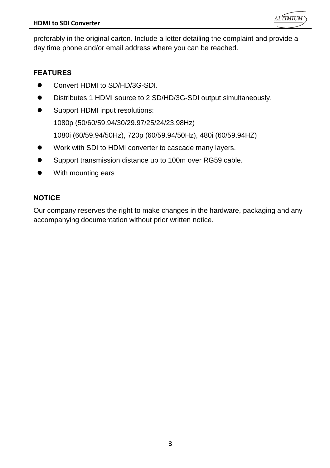preferably in the original carton. Include a letter detailing the complaint and provide a day time phone and/or email address where you can be reached.

### **FEATURES**

- Convert HDMI to SD/HD/3G-SDI.
- Distributes 1 HDMI source to 2 SD/HD/3G-SDI output simultaneously.
- Support HDMI input resolutions:

1080p (50/60/59.94/30/29.97/25/24/23.98Hz)

1080i (60/59.94/50Hz), 720p (60/59.94/50Hz), 480i (60/59.94HZ)

- Work with SDI to HDMI converter to cascade many layers.
- Support transmission distance up to 100m over RG59 cable.
- With mounting ears

# **NOTICE**

Our company reserves the right to make changes in the hardware, packaging and any accompanying documentation without prior written notice.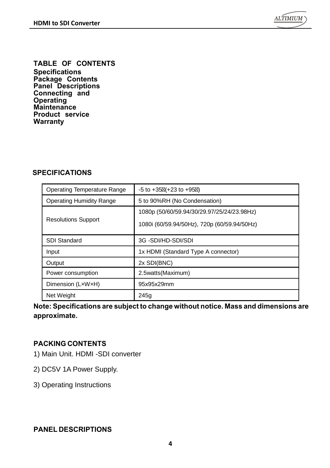

**TABLE OF CONTENTS Specifications Package Contents Panel Descriptions Connecting and Operating Maintenance Product service Warranty**

#### **SPECIFICATIONS**

| Operating Temperature Range     | $-5$ to $+35$ ( $+23$ to $+95$ )            |
|---------------------------------|---------------------------------------------|
| <b>Operating Humidity Range</b> | 5 to 90%RH (No Condensation)                |
| <b>Resolutions Support</b>      | 1080p (50/60/59.94/30/29.97/25/24/23.98Hz)  |
|                                 | 1080i (60/59.94/50Hz), 720p (60/59.94/50Hz) |
| <b>SDI Standard</b>             | 3G-SDI/HD-SDI/SDI                           |
| Input                           | 1x HDMI (Standard Type A connector)         |
| Output                          | 2x SDI(BNC)                                 |
| Power consumption               | 2.5watts(Maximum)                           |
| Dimension (LxWxH)               | 95x95x29mm                                  |
| Net Weight                      | 245g                                        |

**Note: Specifications are subject to change without notice. Mass and dimensions are approximate.**

#### **PACKING CONTENTS**

- 1) Main Unit. HDMI -SDI converter
- 2) DC5V 1A Power Supply.
- 3) Operating Instructions

#### **PANEL DESCRIPTIONS**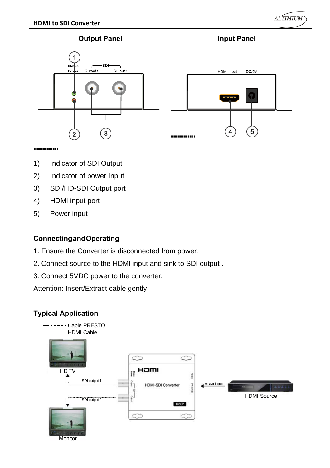

## **Output Panel 2018 10 2019 10:00 10:00 10:00 10:00 10:00 10:00 10:00 10:00 10:00 10:00 10:00 10:00 10:00 10:00 10:00 10:00 10:00 10:00 10:00 10:00 10:00 10:00 10:00 10:00 10:00 10:00 10:00 10:00 10:00 10:00 10:00 10:00 10**



**""""""""""""**

- 1) Indicator of SDI Output
- 2) Indicator of power Input
- 3) SDI/HD-SDI Output port
- 4) HDMI input port
- 5) Power input

#### **Connecting and Operating**

- 1. Ensure the Converter is disconnected from power.
- 2. Connec[t source](app:ds:signal%20source) to the HDMI input and sink to SDI output .
- 3. Connect 5VDC power to the converter.

Attention: Insert/Extract cable gently

#### **Typical Application**

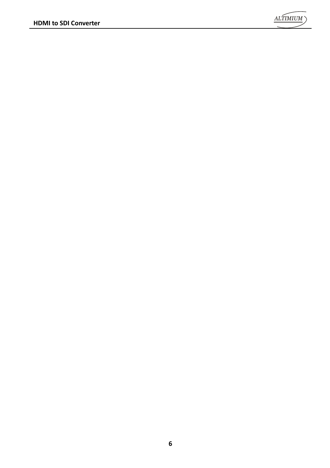